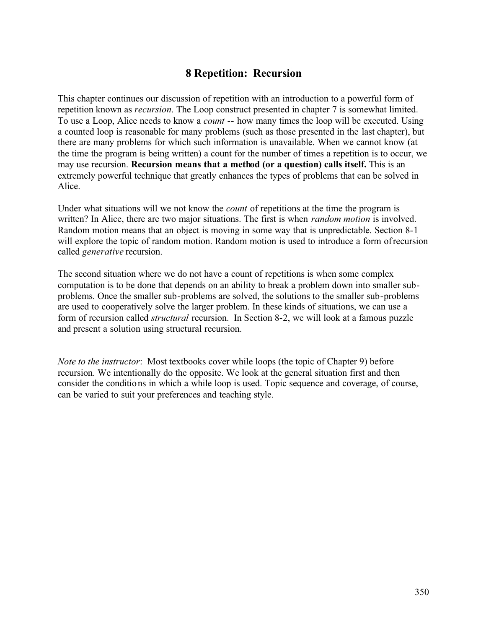# **8 Repetition: Recursion**

This chapter continues our discussion of repetition with an introduction to a powerful form of repetition known as *recursion*. The Loop construct presented in chapter 7 is somewhat limited. To use a Loop, Alice needs to know a *count* -- how many times the loop will be executed. Using a counted loop is reasonable for many problems (such as those presented in the last chapter), but there are many problems for which such information is unavailable. When we cannot know (at the time the program is being written) a count for the number of times a repetition is to occur, we may use recursion. **Recursion means that a method (or a question) calls itself.** This is an extremely powerful technique that greatly enhances the types of problems that can be solved in Alice.

Under what situations will we not know the *count* of repetitions at the time the program is written? In Alice, there are two major situations. The first is when *random motion* is involved. Random motion means that an object is moving in some way that is unpredictable. Section 8-1 will explore the topic of random motion. Random motion is used to introduce a form of recursion called *generative* recursion.

The second situation where we do not have a count of repetitions is when some complex computation is to be done that depends on an ability to break a problem down into smaller subproblems. Once the smaller sub-problems are solved, the solutions to the smaller sub-problems are used to cooperatively solve the larger problem. In these kinds of situations, we can use a form of recursion called *structural* recursion. In Section 8-2, we will look at a famous puzzle and present a solution using structural recursion.

*Note to the instructor*: Most textbooks cover while loops (the topic of Chapter 9) before recursion. We intentionally do the opposite. We look at the general situation first and then consider the conditions in which a while loop is used. Topic sequence and coverage, of course, can be varied to suit your preferences and teaching style.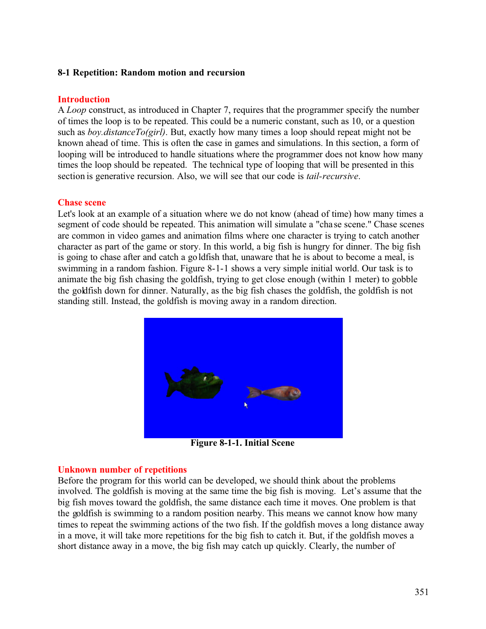#### **8-1 Repetition: Random motion and recursion**

#### **Introduction**

A *Loop* construct, as introduced in Chapter 7, requires that the programmer specify the number of times the loop is to be repeated. This could be a numeric constant, such as 10, or a question such as *boy.distanceTo(girl)*. But, exactly how many times a loop should repeat might not be known ahead of time. This is often the case in games and simulations. In this section, a form of looping will be introduced to handle situations where the programmer does not know how many times the loop should be repeated. The technical type of looping that will be presented in this section is generative recursion. Also, we will see that our code is *tail-recursive*.

### **Chase scene**

Let's look at an example of a situation where we do not know (ahead of time) how many times a segment of code should be repeated. This animation will simulate a "cha se scene." Chase scenes are common in video games and animation films where one character is trying to catch another character as part of the game or story. In this world, a big fish is hungry for dinner. The big fish is going to chase after and catch a goldfish that, unaware that he is about to become a meal, is swimming in a random fashion. Figure 8-1-1 shows a very simple initial world. Our task is to animate the big fish chasing the goldfish, trying to get close enough (within 1 meter) to gobble the goldfish down for dinner. Naturally, as the big fish chases the goldfish, the goldfish is not standing still. Instead, the goldfish is moving away in a random direction.



**Figure 8-1-1. Initial Scene**

### **Unknown number of repetitions**

Before the program for this world can be developed, we should think about the problems involved. The goldfish is moving at the same time the big fish is moving. Let's assume that the big fish moves toward the goldfish, the same distance each time it moves. One problem is that the goldfish is swimming to a random position nearby. This means we cannot know how many times to repeat the swimming actions of the two fish. If the goldfish moves a long distance away in a move, it will take more repetitions for the big fish to catch it. But, if the goldfish moves a short distance away in a move, the big fish may catch up quickly. Clearly, the number of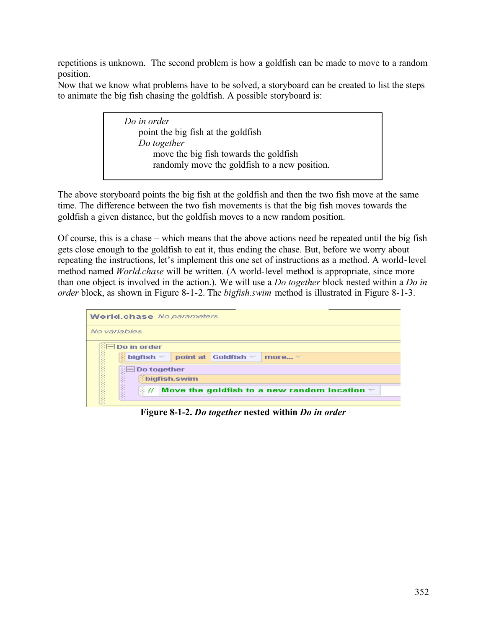repetitions is unknown. The second problem is how a goldfish can be made to move to a random position.

Now that we know what problems have to be solved, a storyboard can be created to list the steps to animate the big fish chasing the goldfish. A possible storyboard is:

> *Do in order* point the big fish at the goldfish  *Do together* move the big fish towards the goldfish randomly move the goldfish to a new position.

The above storyboard points the big fish at the goldfish and then the two fish move at the same time. The difference between the two fish movements is that the big fish moves towards the goldfish a given distance, but the goldfish moves to a new random position.

Of course, this is a chase – which means that the above actions need be repeated until the big fish gets close enough to the goldfish to eat it, thus ending the chase. But, before we worry about repeating the instructions, let's implement this one set of instructions as a method. A world-level method named *World.chase* will be written. (A world-level method is appropriate, since more than one object is involved in the action.). We will use a *Do together* block nested within a *Do in order* block, as shown in Figure 8-1-2. The *bigfish.swim* method is illustrated in Figure 8-1-3.

|              | <b>World.chase</b> No parameters                                                         |  |  |  |  |  |
|--------------|------------------------------------------------------------------------------------------|--|--|--|--|--|
| No variables |                                                                                          |  |  |  |  |  |
|              | ं <b>— Do in order</b>                                                                   |  |  |  |  |  |
|              | $\frac{3}{2}$ bigfish $\pm$<br>point at Goldfish $\triangledown$<br>more $\triangledown$ |  |  |  |  |  |
|              | $\mathbb{H}$ Do together                                                                 |  |  |  |  |  |
|              | <b>Ebigfish.swim</b>                                                                     |  |  |  |  |  |
|              | <b>ENGINEERING</b><br>§#<br>Move the goldfish to a new random location $\eqsim$          |  |  |  |  |  |
|              |                                                                                          |  |  |  |  |  |

**Figure 8-1-2.** *Do together* **nested within** *Do in order*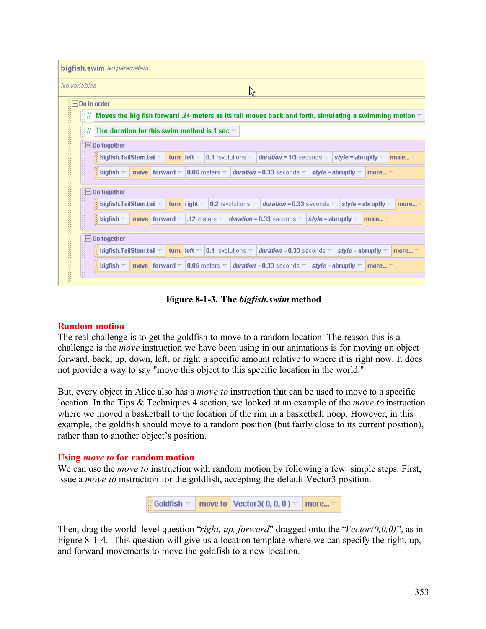|                   | bigfish.swim No parameters                                                                                                                                                                                           |
|-------------------|----------------------------------------------------------------------------------------------------------------------------------------------------------------------------------------------------------------------|
| No variables      | р                                                                                                                                                                                                                    |
|                   | $\Box$ Do in order                                                                                                                                                                                                   |
|                   | Moves the big fish forward .24 meters as its tail moves back and forth, simulating a swimming motion $\overline{\ }$<br>871                                                                                          |
|                   | The duration for this swim method is 1 sec $\triangledown$<br>3 H                                                                                                                                                    |
|                   | ं⊟ Do together                                                                                                                                                                                                       |
|                   | bigfish.TailStem.tail $\lnot$<br><b>turn</b> left $\triangledown$  0.1 revolutions $\triangledown$   <b>duration = 1/3</b> seconds $\triangledown$   <b>style = abruptly</b> $\triangledown$<br>more $\triangledown$ |
| <b>MANAGEMENT</b> | move forward $\approx$ 10.06 meters $\approx$<br><b>duration = 0.33</b> seconds $\nabla$ <b>style = abruptly</b> $\nabla$<br>bigfish $\triangledown$<br>more $\nabla$                                                |
|                   | $\Box$ Do together                                                                                                                                                                                                   |
|                   | bigfish.TailStem.tail $\lnot$<br>turn right $\triangledown$   0.2 revolutions $\triangledown$<br><b>duration = 0.33</b> seconds $\nabla$ <b>style = abruptly</b> $\nabla$<br>more $\triangledown$                    |
| <b>MARKETS</b>    | <b>move</b> forward $\nabla$ 1.12 meters $\nabla$ <b>duration = 0.33</b> seconds $\nabla$ <b>style = abruptly</b> $\nabla$<br>bigfish $\nabla$<br>more $\nabla$                                                      |
|                   | $\Box$ Do together                                                                                                                                                                                                   |
|                   | bigfish.TailStem.tail $\pm$<br>turn left $\triangledown$<br>$\vert$ 0.1 revolutions $\nabla$<br><b><i>duration</i></b> = 0.33 seconds $\nabla$ <b><i>style</i></b> = abruptly $\nabla$<br>more $\triangledown$       |
| <b>MANAGEMENT</b> | move forward $\nabla$<br>$\vert$ 0.06 meters $\nabla$<br><b><i>duration</i></b> = 0.33 seconds $\nabla$<br>style = abruptly $\nabla$<br>bigfish $\nabla$<br>more $\triangledown$                                     |
|                   |                                                                                                                                                                                                                      |

**Figure 8-1-3. The** *bigfish.swim* **method**

#### **Random motion**

The real challenge is to get the goldfish to move to a random location. The reason this is a challenge is the *move* instruction we have been using in our animations is for moving an object forward, back, up, down, left, or right a specific amount relative to where it is right now. It does not provide a way to say "move this object to this specific location in the world."

But, every object in Alice also has a *move to* instruction that can be used to move to a specific location. In the Tips & Techniques 4 section, we looked at an example of the *move to* instruction where we moved a basketball to the location of the rim in a basketball hoop. However, in this example, the goldfish should move to a random position (but fairly close to its current position), rather than to another object's position.

### **Using** *move to* **for random motion**

We can use the *move to* instruction with random motion by following a few simple steps. First, issue a *move to* instruction for the goldfish, accepting the default Vector3 position.



Then, drag the world-level question "*right, up, forward*" dragged onto the "*Vector(0,0,0)*", as in Figure 8-1-4. This question will give us a location template where we can specify the right, up, and forward movements to move the goldfish to a new location.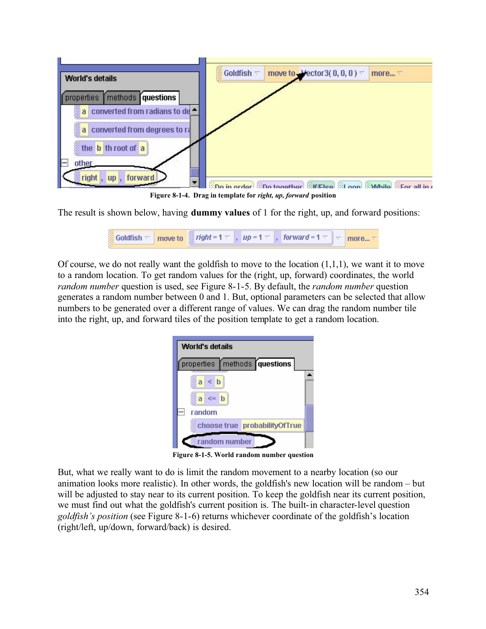

**Figure 8-1-4. Drag in template for** *right, up, forward* **position**

The result is shown below, having **dummy values** of 1 for the right, up, and forward positions:

| <b>Soldfish</b> $\forall$ move to $\parallel$ right = 1 $\forall$ , up = 1 $\forall$ , forward = 1 $\forall$ $\parallel \forall$ more $\forall$ |  |  |  |  |  |  |  |
|-------------------------------------------------------------------------------------------------------------------------------------------------|--|--|--|--|--|--|--|
|-------------------------------------------------------------------------------------------------------------------------------------------------|--|--|--|--|--|--|--|

Of course, we do not really want the goldfish to move to the location  $(1,1,1)$ , we want it to move to a random location. To get random values for the (right, up, forward) coordinates, the world *random number* question is used, see Figure 8-1-5. By default, the *random number* question generates a random number between 0 and 1. But, optional parameters can be selected that allow numbers to be generated over a different range of values. We can drag the random number tile into the right, up, and forward tiles of the position template to get a random location.

| World's details                |                               |  |
|--------------------------------|-------------------------------|--|
|                                | properties methods questions  |  |
| $\leq$ b<br>ā<br>$\leq$ b<br>a |                               |  |
| random                         |                               |  |
|                                | choose true probabilityOfTrue |  |
|                                | random number                 |  |

**Figure 8-1-5. World random number question**

But, what we really want to do is limit the random movement to a nearby location (so our animation looks more realistic). In other words, the goldfish's new location will be random – but will be adjusted to stay near to its current position. To keep the goldfish near its current position, we must find out what the goldfish's current position is. The built-in character-level question *goldfish's position* (see Figure 8-1-6) returns whichever coordinate of the goldfish's location (right/left, up/down, forward/back) is desired.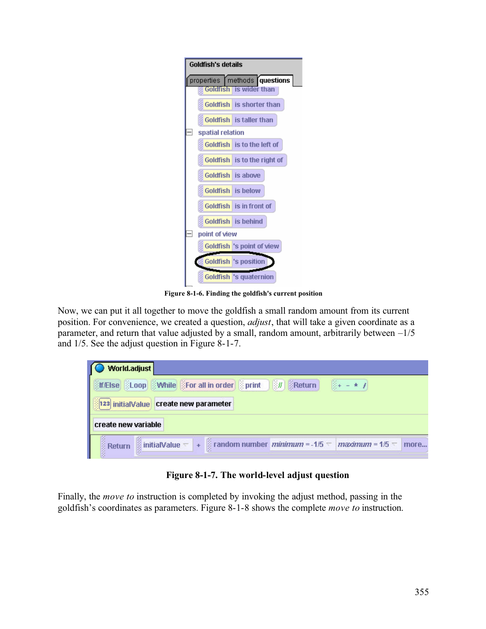

**Figure 8-1-6. Finding the goldfish's current position**

Now, we can put it all together to move the goldfish a small random amount from its current position. For convenience, we created a question, *adjust*, that will take a given coordinate as a parameter, and return that value adjusted by a small, random amount, arbitrarily between  $-1/5$ and 1/5. See the adjust question in Figure 8-1-7.

| World.adjust        |                                       |  |                                                                 |                                                                                       |      |
|---------------------|---------------------------------------|--|-----------------------------------------------------------------|---------------------------------------------------------------------------------------|------|
|                     |                                       |  | <b>Stresse SLoop Swhile SFor all in order Sprint 30 SReturn</b> | $\frac{1}{2}$ + - * 1                                                                 |      |
|                     | 123 initialValue create new parameter |  |                                                                 |                                                                                       |      |
| create new variable |                                       |  |                                                                 |                                                                                       |      |
|                     |                                       |  |                                                                 | Return initialValue – + Frandom number <i>minimum</i> = -1/5 – <i>maximum</i> = 1/5 – | more |

**Figure 8-1-7. The world-level adjust question**

Finally, the *move to* instruction is completed by invoking the adjust method, passing in the goldfish's coordinates as parameters. Figure 8-1-8 shows the complete *move to* instruction.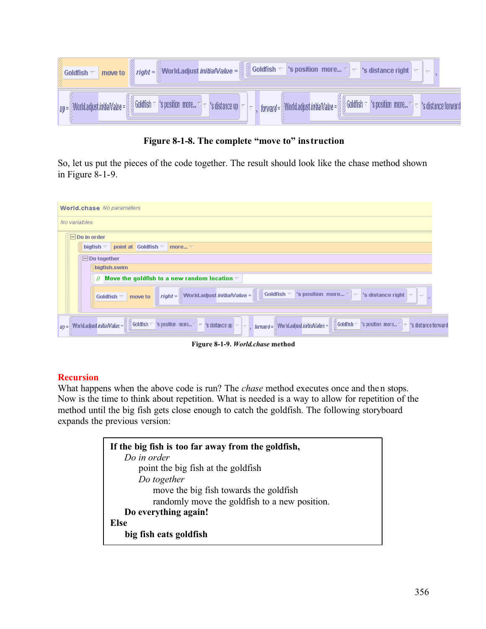

**Figure 8-1-8. The complete "move to" instruction**

So, let us put the pieces of the code together. The result should look like the chase method shown in Figure 8-1-9.

| <b>World.chase</b> No parameters                                                                                                                                                                                                                                                                                   |                     |
|--------------------------------------------------------------------------------------------------------------------------------------------------------------------------------------------------------------------------------------------------------------------------------------------------------------------|---------------------|
| No variables                                                                                                                                                                                                                                                                                                       |                     |
| $\textcircled{F}$ Do in order                                                                                                                                                                                                                                                                                      |                     |
| point at Goldfish $\nabla$<br>bigfish $\overline{\phantom{a}}$<br>more $\triangledown$                                                                                                                                                                                                                             |                     |
| $\Box$ Do together                                                                                                                                                                                                                                                                                                 |                     |
| <b>shigfish.swim</b>                                                                                                                                                                                                                                                                                               |                     |
| 陰川<br>Move the goldfish to a new random location $\nabla$                                                                                                                                                                                                                                                          |                     |
| $right =$<br>$\frac{3}{2}$ Goldfish $\pm$<br>'s position more $\nabla \nabla$ 's distance right<br>World.adjust initialValue =<br>$\overline{\nabla}$<br>Goldfish $\nabla$<br>move to                                                                                                                              | $\overline{\nabla}$ |
| $\frac{1}{2}$ Goldfish $\nabla$ 's position more $\nabla$ $\nabla$ 's distance up $\nabla$ $\nabla$<br>$\frac{\omega}{\omega}$ Goldfish $\nabla$ $\mathsf{S}$ position more $\nabla \mathsf{S} = \mathsf{S}$ distance forward<br>World.adjust initialValue = 8<br>forward = World.adjust initial Value =<br>$UD =$ |                     |

**Figure 8-1-9.** *World.chase* **method**

### **Recursion**

What happens when the above code is run? The *chase* method executes once and then stops. Now is the time to think about repetition. What is needed is a way to allow for repetition of the method until the big fish gets close enough to catch the goldfish. The following storyboard expands the previous version:

| If the big fish is too far away from the goldfish, |
|----------------------------------------------------|
| Do in order                                        |
| point the big fish at the goldfish                 |
| Do together                                        |
| move the big fish towards the goldfish             |
| randomly move the goldfish to a new position.      |
| Do everything again!                               |
| Else                                               |
| big fish eats goldfish                             |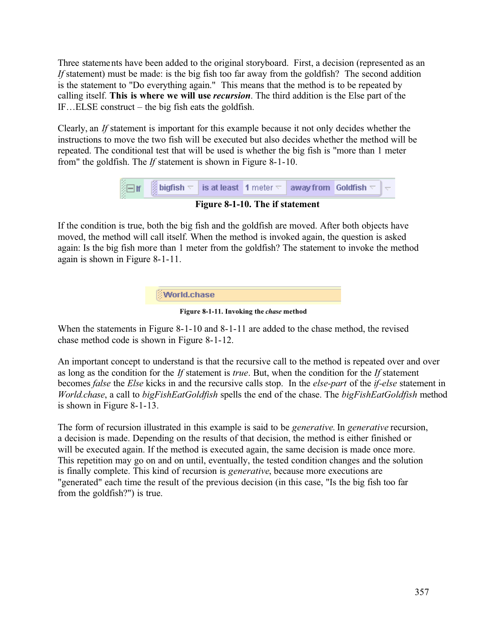Three statements have been added to the original storyboard. First, a decision (represented as an *If* statement) must be made: is the big fish too far away from the goldfish? The second addition is the statement to "Do everything again." This means that the method is to be repeated by calling itself. **This is where we will use** *recursion*. The third addition is the Else part of the IF…ELSE construct – the big fish eats the goldfish.

Clearly, an *If* statement is important for this example because it not only decides whether the instructions to move the two fish will be executed but also decides whether the method will be repeated. The conditional test that will be used is whether the big fish is "more than 1 meter from" the goldfish. The *If* statement is shown in Figure 8-1-10.

| $\frac{1}{2}$ of $\frac{1}{2}$ bigfish $\frac{1}{2}$ is at least $\left  \begin{array}{c} 1 \text{ meter} \end{array} \right $ away from Goldfish $\frac{1}{2}$ $\left  \begin{array}{c} -1 \end{array} \right $ |                                           |  |  |
|------------------------------------------------------------------------------------------------------------------------------------------------------------------------------------------------------------------|-------------------------------------------|--|--|
|                                                                                                                                                                                                                  | $E^2 = 0.110$ TL $\pm 20.4$ and $\pm 4.1$ |  |  |

**Figure 8-1-10. The if statement**

If the condition is true, both the big fish and the goldfish are moved. After both objects have moved, the method will call itself. When the method is invoked again, the question is asked again: Is the big fish more than 1 meter from the goldfish? The statement to invoke the method again is shown in Figure 8-1-11.



**Figure 8-1-11. Invoking the** *chase* **method**

When the statements in Figure 8-1-10 and 8-1-11 are added to the chase method, the revised chase method code is shown in Figure 8-1-12.

An important concept to understand is that the recursive call to the method is repeated over and over as long as the condition for the *If* statement is *true*. But, when the condition for the *If* statement becomes *false* the *Else* kicks in and the recursive calls stop. In the *else-part* of the *if-else* statement in *World.chase*, a call to *bigFishEatGoldfish* spells the end of the chase. The *bigFishEatGoldfish* method is shown in Figure 8-1-13.

The form of recursion illustrated in this example is said to be *generative*. In *generative* recursion, a decision is made. Depending on the results of that decision, the method is either finished or will be executed again. If the method is executed again, the same decision is made once more. This repetition may go on and on until, eventually, the tested condition changes and the solution is finally complete. This kind of recursion is *generative*, because more executions are "generated" each time the result of the previous decision (in this case, "Is the big fish too far from the goldfish?") is true.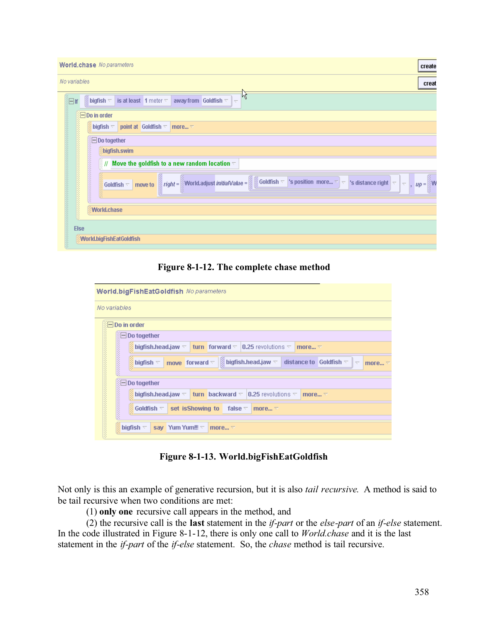| <b>World.chase</b> No parameters<br>create                                                                                                                                                                                                                                                                                                                                                                                                |
|-------------------------------------------------------------------------------------------------------------------------------------------------------------------------------------------------------------------------------------------------------------------------------------------------------------------------------------------------------------------------------------------------------------------------------------------|
| No variables<br>creat                                                                                                                                                                                                                                                                                                                                                                                                                     |
| hç<br>is at least 1 meter $\nabla$<br>away from Goldfish $\nabla$<br>$\frac{3}{2}$ bigfish $\sqrt{ }$<br>旧面<br>$\overline{\nabla}$                                                                                                                                                                                                                                                                                                        |
| <b>Do in order</b>                                                                                                                                                                                                                                                                                                                                                                                                                        |
| point at Goldfish $\nabla$<br>bigfish $\triangledown$<br>more $\nabla$                                                                                                                                                                                                                                                                                                                                                                    |
| <b>EDo together</b>                                                                                                                                                                                                                                                                                                                                                                                                                       |
| bigfish.swim                                                                                                                                                                                                                                                                                                                                                                                                                              |
| $\mathbb{R}^n$<br>Move the goldfish to a new random location $\triangledown$                                                                                                                                                                                                                                                                                                                                                              |
| $\left  \begin{array}{c} \frac{\partial}{\partial t} \\ \frac{\partial}{\partial t} \end{array} \right  \frac{right} =$<br>$up = \begin{matrix} \frac{3}{2} \\ \frac{3}{2} \end{matrix} \mathsf{W}$<br>World.adjust <i>initialValue</i> = $\frac{1}{8}$ Goldfish $\overline{\phantom{a}}$<br>'s position more $\triangledown$ $\triangledown$<br>'s distance right<br>$\Vert \nabla \Vert_{\nabla}$<br>Goldfish $\nabla$<br>move to<br>Ŷ, |
| World.chase                                                                                                                                                                                                                                                                                                                                                                                                                               |
| <b>Else</b>                                                                                                                                                                                                                                                                                                                                                                                                                               |
| World.bigFishEatGoldfish                                                                                                                                                                                                                                                                                                                                                                                                                  |

**Figure 8-1-12. The complete chase method**

| <b>World.bigFishEatGoldfish</b> No parameters                                                                                                                                     |
|-----------------------------------------------------------------------------------------------------------------------------------------------------------------------------------|
| No variables                                                                                                                                                                      |
| $\Box$ Do in order                                                                                                                                                                |
| Do together<br>$-\,$                                                                                                                                                              |
| bigfish.head.jaw $\triangledown$<br><b>turn</b> forward $\nabla$ 10.25 revolutions $\nabla$<br>more $\triangledown$                                                               |
| $\frac{1}{2}$ bigfish.head.jaw $\triangledown$<br>move forward $\nabla$<br>distance to $\,$ Goldfish $\,$<br>bigfish $\nabla$<br>$\overline{\phantom{a}}$<br>more $\triangledown$ |
| Do together<br>$\equiv$                                                                                                                                                           |
| bigfish.head.jaw $\triangledown$<br><b>turn</b> backward $\nabla$ 10.25 revolutions $\nabla$<br>more $\triangledown$                                                              |
| <b>REGIONAL CONTRACTOR</b><br>Goldfish $\nabla$<br>set is Showing to<br>false $\nabla$<br>more $\nabla$                                                                           |
| bigfish $\nabla$<br>Yum Yum!!! $\nabla$<br>sav<br>more $\nabla$                                                                                                                   |
|                                                                                                                                                                                   |

**Figure 8-1-13. World.bigFishEatGoldfish**

Not only is this an example of generative recursion, but it is also *tail recursive*. A method is said to be tail recursive when two conditions are met:

(1) **only one** recursive call appears in the method, and

(2) the recursive call is the **last** statement in the *if-part* or the *else-part* of an *if-else* statement. In the code illustrated in Figure 8-1-12, there is only one call to *World.chase* and it is the last statement in the *if-part* of the *if-else* statement. So, the *chase* method is tail recursive.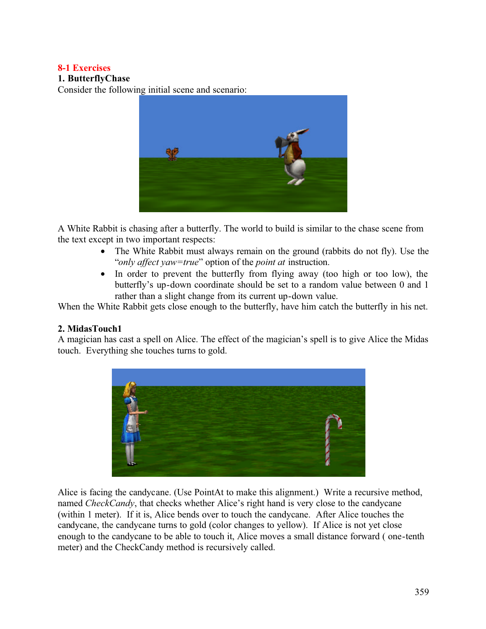### **8-1 Exercises**

### **1. ButterflyChase**

Consider the following initial scene and scenario:



A White Rabbit is chasing after a butterfly. The world to build is similar to the chase scene from the text except in two important respects:

- The White Rabbit must always remain on the ground (rabbits do not fly). Use the "*only affect yaw=true*" option of the *point at* instruction.
- In order to prevent the butterfly from flying away (too high or too low), the butterfly's up-down coordinate should be set to a random value between 0 and 1 rather than a slight change from its current up-down value.

When the White Rabbit gets close enough to the butterfly, have him catch the butterfly in his net.

#### **2. MidasTouch1**

A magician has cast a spell on Alice. The effect of the magician's spell is to give Alice the Midas touch. Everything she touches turns to gold.



Alice is facing the candycane. (Use PointAt to make this alignment.) Write a recursive method, named *CheckCandy*, that checks whether Alice's right hand is very close to the candycane (within 1 meter). If it is, Alice bends over to touch the candycane. After Alice touches the candycane, the candycane turns to gold (color changes to yellow). If Alice is not yet close enough to the candycane to be able to touch it, Alice moves a small distance forward ( one-tenth meter) and the CheckCandy method is recursively called.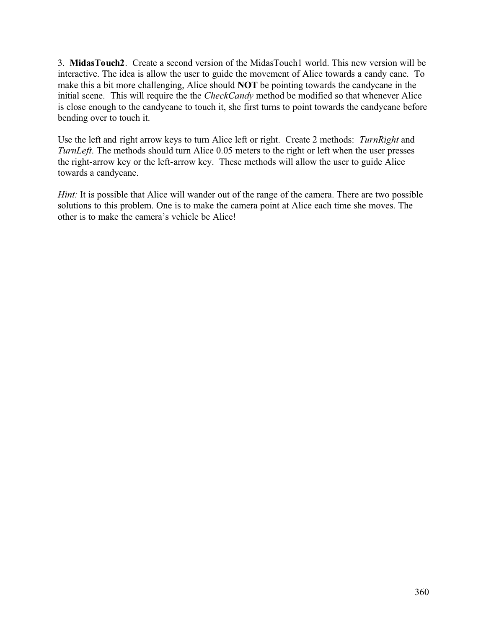3. **MidasTouch2**. Create a second version of the MidasTouch1 world. This new version will be interactive. The idea is allow the user to guide the movement of Alice towards a candy cane. To make this a bit more challenging, Alice should **NOT** be pointing towards the candycane in the initial scene. This will require the the *CheckCandy* method be modified so that whenever Alice is close enough to the candycane to touch it, she first turns to point towards the candycane before bending over to touch it.

Use the left and right arrow keys to turn Alice left or right. Create 2 methods: *TurnRight* and *TurnLeft*. The methods should turn Alice 0.05 meters to the right or left when the user presses the right-arrow key or the left-arrow key. These methods will allow the user to guide Alice towards a candycane.

*Hint*: It is possible that Alice will wander out of the range of the camera. There are two possible solutions to this problem. One is to make the camera point at Alice each time she moves. The other is to make the camera's vehicle be Alice!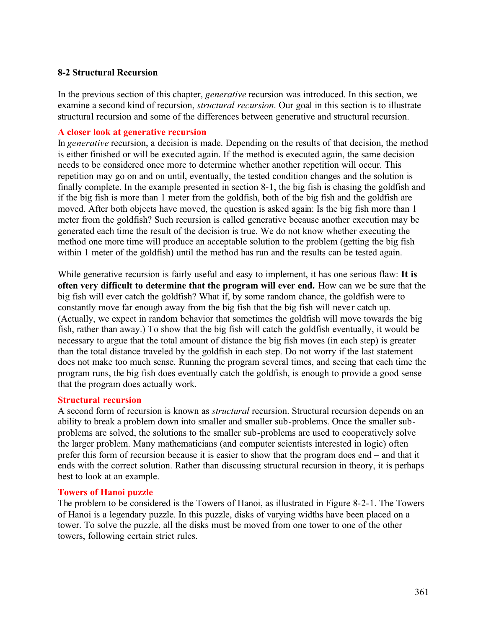#### **8-2 Structural Recursion**

In the previous section of this chapter, *generative* recursion was introduced. In this section, we examine a second kind of recursion, *structural recursion*. Our goal in this section is to illustrate structural recursion and some of the differences between generative and structural recursion.

#### **A closer look at generative recursion**

In *generative* recursion, a decision is made. Depending on the results of that decision, the method is either finished or will be executed again. If the method is executed again, the same decision needs to be considered once more to determine whether another repetition will occur. This repetition may go on and on until, eventually, the tested condition changes and the solution is finally complete. In the example presented in section 8-1, the big fish is chasing the goldfish and if the big fish is more than 1 meter from the goldfish, both of the big fish and the goldfish are moved. After both objects have moved, the question is asked again: Is the big fish more than 1 meter from the goldfish? Such recursion is called generative because another execution may be generated each time the result of the decision is true. We do not know whether executing the method one more time will produce an acceptable solution to the problem (getting the big fish within 1 meter of the goldfish) until the method has run and the results can be tested again.

While generative recursion is fairly useful and easy to implement, it has one serious flaw: **It is often very difficult to determine that the program will ever end.** How can we be sure that the big fish will ever catch the goldfish? What if, by some random chance, the goldfish were to constantly move far enough away from the big fish that the big fish will never catch up. (Actually, we expect in random behavior that sometimes the goldfish will move towards the big fish, rather than away.) To show that the big fish will catch the goldfish eventually, it would be necessary to argue that the total amount of distance the big fish moves (in each step) is greater than the total distance traveled by the goldfish in each step. Do not worry if the last statement does not make too much sense. Running the program several times, and seeing that each time the program runs, the big fish does eventually catch the goldfish, is enough to provide a good sense that the program does actually work.

#### **Structural recursion**

A second form of recursion is known as *structural* recursion. Structural recursion depends on an ability to break a problem down into smaller and smaller sub-problems. Once the smaller subproblems are solved, the solutions to the smaller sub-problems are used to cooperatively solve the larger problem. Many mathematicians (and computer scientists interested in logic) often prefer this form of recursion because it is easier to show that the program does end – and that it ends with the correct solution. Rather than discussing structural recursion in theory, it is perhaps best to look at an example.

#### **Towers of Hanoi puzzle**

The problem to be considered is the Towers of Hanoi, as illustrated in Figure 8-2-1. The Towers of Hanoi is a legendary puzzle. In this puzzle, disks of varying widths have been placed on a tower. To solve the puzzle, all the disks must be moved from one tower to one of the other towers, following certain strict rules.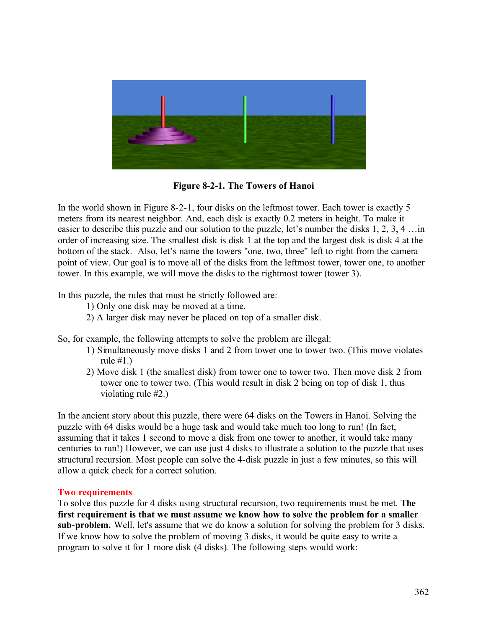

**Figure 8-2-1. The Towers of Hanoi**

In the world shown in Figure 8-2-1, four disks on the leftmost tower. Each tower is exactly 5 meters from its nearest neighbor. And, each disk is exactly 0.2 meters in height. To make it easier to describe this puzzle and our solution to the puzzle, let's number the disks 1, 2, 3, 4 …in order of increasing size. The smallest disk is disk 1 at the top and the largest disk is disk 4 at the bottom of the stack. Also, let's name the towers "one, two, three" left to right from the camera point of view. Our goal is to move all of the disks from the leftmost tower, tower one, to another tower. In this example, we will move the disks to the rightmost tower (tower 3).

In this puzzle, the rules that must be strictly followed are:

- 1) Only one disk may be moved at a time.
- 2) A larger disk may never be placed on top of a smaller disk.

So, for example, the following attempts to solve the problem are illegal:

- 1) Simultaneously move disks 1 and 2 from tower one to tower two. (This move violates rule  $\#1.$ )
- 2) Move disk 1 (the smallest disk) from tower one to tower two. Then move disk 2 from tower one to tower two. (This would result in disk 2 being on top of disk 1, thus violating rule #2.)

In the ancient story about this puzzle, there were 64 disks on the Towers in Hanoi. Solving the puzzle with 64 disks would be a huge task and would take much too long to run! (In fact, assuming that it takes 1 second to move a disk from one tower to another, it would take many centuries to run!) However, we can use just 4 disks to illustrate a solution to the puzzle that uses structural recursion. Most people can solve the 4-disk puzzle in just a few minutes, so this will allow a quick check for a correct solution.

#### **Two requirements**

To solve this puzzle for 4 disks using structural recursion, two requirements must be met. **The first requirement is that we must assume we know how to solve the problem for a smaller sub-problem.** Well, let's assume that we do know a solution for solving the problem for 3 disks. If we know how to solve the problem of moving 3 disks, it would be quite easy to write a program to solve it for 1 more disk (4 disks). The following steps would work: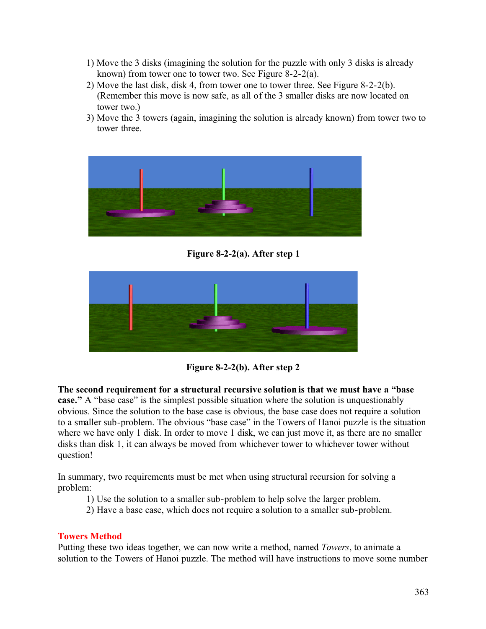- 1) Move the 3 disks (imagining the solution for the puzzle with only 3 disks is already known) from tower one to tower two. See Figure 8-2-2(a).
- 2) Move the last disk, disk 4, from tower one to tower three. See Figure 8-2-2(b). (Remember this move is now safe, as all of the 3 smaller disks are now located on tower two.)
- 3) Move the 3 towers (again, imagining the solution is already known) from tower two to tower three.



**Figure 8-2-2(a). After step 1** 



**Figure 8-2-2(b). After step 2** 

**The second requirement for a structural recursive solution is that we must have a "base case."** A "base case" is the simplest possible situation where the solution is unquestionably obvious. Since the solution to the base case is obvious, the base case does not require a solution to a smaller sub-problem. The obvious "base case" in the Towers of Hanoi puzzle is the situation where we have only 1 disk. In order to move 1 disk, we can just move it, as there are no smaller disks than disk 1, it can always be moved from whichever tower to whichever tower without question!

In summary, two requirements must be met when using structural recursion for solving a problem:

- 1) Use the solution to a smaller sub-problem to help solve the larger problem.
- 2) Have a base case, which does not require a solution to a smaller sub-problem.

#### **Towers Method**

Putting these two ideas together, we can now write a method, named *Towers*, to animate a solution to the Towers of Hanoi puzzle. The method will have instructions to move some number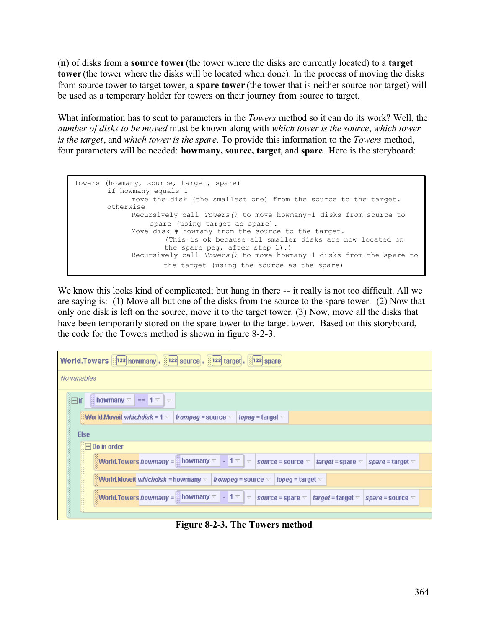(**n**) of disks from a **source tower** (the tower where the disks are currently located) to a **target tower** (the tower where the disks will be located when done). In the process of moving the disks from source tower to target tower, a **spare tower** (the tower that is neither source nor target) will be used as a temporary holder for towers on their journey from source to target.

What information has to sent to parameters in the *Towers* method so it can do its work? Well, the *number of disks to be moved* must be known along with *which tower is the source*, *which tower is the target*, and *which tower is the spare*. To provide this information to the *Towers* method, four parameters will be needed: **howmany, source, target**, and **spare**. Here is the storyboard:

```
Towers (howmany, source, target, spare)
        if howmany equals 1
             move the disk (the smallest one) from the source to the target.
        otherwise
             Recursively call Towers() to move howmany-1 disks from source to 
                 spare (using target as spare).
             Move disk # howmany from the source to the target. 
                      (This is ok because all smaller disks are now located on 
                      the spare peg, after step 1).)
             Recursively call Towers() to move howmany-1 disks from the spare to 
                      the target (using the source as the spare)
```
We know this looks kind of complicated; but hang in there  $-$ - it really is not too difficult. All we are saying is: (1) Move all but one of the disks from the source to the spare tower. (2) Now that only one disk is left on the source, move it to the target tower. (3) Now, move all the disks that have been temporarily stored on the spare tower to the target tower. Based on this storyboard, the code for the Towers method is shown in figure 8-2-3.

| World.Towers [123] howmany, [123] source, [123] target, [123] spare                                                                                                                         |
|---------------------------------------------------------------------------------------------------------------------------------------------------------------------------------------------|
| No variables                                                                                                                                                                                |
| $\frac{3}{2}$ howmany $\overline{\nabla}$ == 1 $\overline{\nabla}$ $\overline{\nabla}$                                                                                                      |
| World.Moveit which disk = 1 $\pm$<br>frompeg = source $\nabla$<br>  topeg = target $\nabla$                                                                                                 |
| <b>Else</b>                                                                                                                                                                                 |
| ं⊟ Do in order                                                                                                                                                                              |
| World.Towers howmany = $\parallel$ howmany $\leq$   -   1 $\leq$   $\leq$   source = source $\leq$   target = spare $\leq$   spare = target $\leq$                                          |
| World.Moveit whichdisk = howmany $\lnot$   frompeg = source $\lnot$<br>  topeg = target $\nabla$                                                                                            |
| World.Towers howmany = $\parallel$ howmany $\leq$ $\parallel$ - $\parallel$ 1 $\leq$ $\parallel$ source = spare $\leq$ $\parallel$ target = target $\leq$ $\parallel$ spare = source $\leq$ |
|                                                                                                                                                                                             |

**Figure 8-2-3. The Towers method**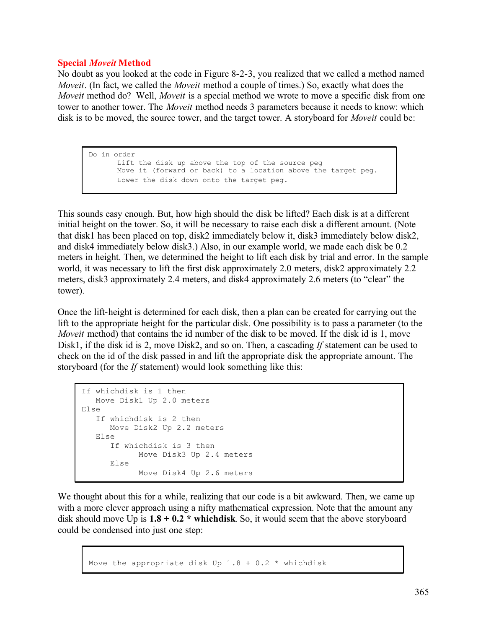#### **Special** *Moveit* **Method**

No doubt as you looked at the code in Figure 8-2-3, you realized that we called a method named *Moveit*. (In fact, we called the *Moveit* method a couple of times.) So, exactly what does the *Moveit* method do? Well, *Moveit* is a special method we wrote to move a specific disk from one tower to another tower. The *Moveit* method needs 3 parameters because it needs to know: which disk is to be moved, the source tower, and the target tower. A storyboard for *Moveit* could be:

Do in order Lift the disk up above the top of the source peg Move it (forward or back) to a location above the target peg. Lower the disk down onto the target peg.

This sounds easy enough. But, how high should the disk be lifted? Each disk is at a different initial height on the tower. So, it will be necessary to raise each disk a different amount. (Note that disk1 has been placed on top, disk2 immediately below it, disk3 immediately below disk2, and disk4 immediately below disk3.) Also, in our example world, we made each disk be 0.2 meters in height. Then, we determined the height to lift each disk by trial and error. In the sample world, it was necessary to lift the first disk approximately 2.0 meters, disk2 approximately 2.2 meters, disk3 approximately 2.4 meters, and disk4 approximately 2.6 meters (to "clear" the tower).

Once the lift-height is determined for each disk, then a plan can be created for carrying out the lift to the appropriate height for the particular disk. One possibility is to pass a parameter (to the *Moveit* method) that contains the id number of the disk to be moved. If the disk id is 1, move Disk1, if the disk id is 2, move Disk2, and so on. Then, a cascading *If* statement can be used to check on the id of the disk passed in and lift the appropriate disk the appropriate amount. The storyboard (for the *If* statement) would look something like this:

```
If whichdisk is 1 then
   Move Disk1 Up 2.0 meters
Else
    If whichdisk is 2 then
     Move Disk2 Up 2.2 meters
    Else
      If whichdisk is 3 then
           Move Disk3 Up 2.4 meters
      Else
            Move Disk4 Up 2.6 meters
```
We thought about this for a while, realizing that our code is a bit awkward. Then, we came up with a more clever approach using a nifty mathematical expression. Note that the amount any disk should move Up is  $1.8 + 0.2$  \* whichdisk. So, it would seem that the above storyboard could be condensed into just one step:

```
Move the appropriate disk Up 1.8 + 0.2 * whichdisk
```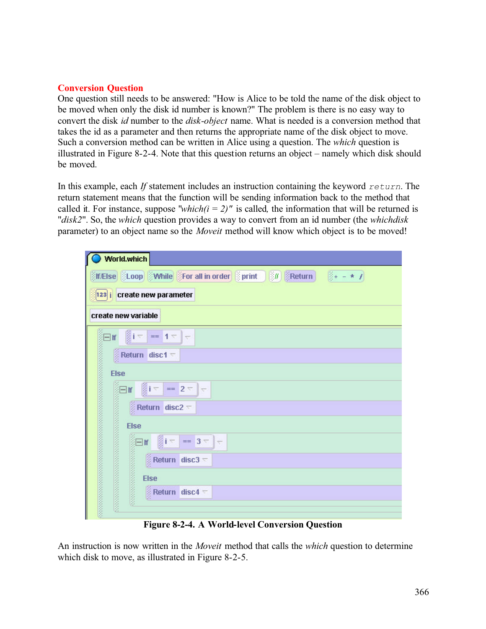### **Conversion Question**

One question still needs to be answered: "How is Alice to be told the name of the disk object to be moved when only the disk id number is known?" The problem is there is no easy way to convert the disk *id* number to the *disk-object* name. What is needed is a conversion method that takes the id as a parameter and then returns the appropriate name of the disk object to move. Such a conversion method can be written in Alice using a question. The *which* question is illustrated in Figure 8-2-4. Note that this question returns an object – namely which disk should be moved.

In this example, each *If* statement includes an instruction containing the keyword *return*. The return statement means that the function will be sending information back to the method that called it. For instance, suppose "*which(i = 2)*" is called, the information that will be returned is "*disk2*". So, the *which* question provides a way to convert from an id number (the *whichdisk* parameter) to an object name so the *Moveit* method will know which object is to be moved!

| World.which                                                                                                                                                                   |
|-------------------------------------------------------------------------------------------------------------------------------------------------------------------------------|
| <b>MEISe</b> (Loop While CFor all in order Sprint 30 BReturn 3+ - * 7                                                                                                         |
| 123 i create new parameter                                                                                                                                                    |
| create new variable                                                                                                                                                           |
| $\exists$ if $\left \frac{3}{2}i\right $ == 1 $\pm$<br>$\overline{\nabla}$                                                                                                    |
| $\frac{3}{2}$ Return disc 1 $\sqrt{ }$                                                                                                                                        |
| <b>Else</b>                                                                                                                                                                   |
| $\left  \cdot \right $                                                                                                                                                        |
|                                                                                                                                                                               |
|                                                                                                                                                                               |
| Example 1 = $2 - 2$<br>Example 2 = Return disc 2 $\overline{z}$<br>Else<br>Else<br>Else<br>Else<br>Else<br>Return disc 2<br>Else<br>Return disc 2<br>$== 3 =$<br>$\leftarrow$ |
| $\frac{3}{2}$ Return disc3 $\approx$                                                                                                                                          |
|                                                                                                                                                                               |
| Return disc4 $\pm$                                                                                                                                                            |
|                                                                                                                                                                               |

**Figure 8-2-4. A World-level Conversion Question** 

An instruction is now written in the *Moveit* method that calls the *which* question to determine which disk to move, as illustrated in Figure 8-2-5.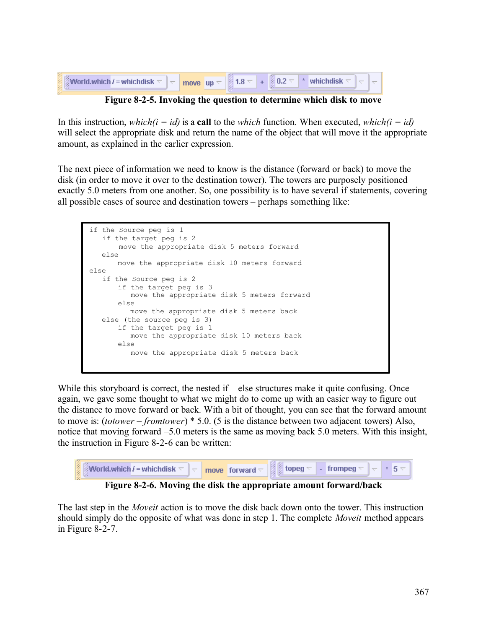| <b>World.which i = whichdisk</b> $\nabla$ |  |  | <b>Example 1.8</b> $\overline{\triangleright}$   $\overline{\mathbb{S}}$ 1.8 $\overline{\triangleright}$   $\overline{\mathbb{S}}$ 0.2 $\overline{\triangleright}$   $\overline{\triangleright}$   which disk $\overline{\triangleright}$   $\overline{\triangleright}$ |  |
|-------------------------------------------|--|--|-------------------------------------------------------------------------------------------------------------------------------------------------------------------------------------------------------------------------------------------------------------------------|--|
|                                           |  |  |                                                                                                                                                                                                                                                                         |  |

**Figure 8-2-5. Invoking the question to determine which disk to move**

In this instruction, *which(i = id)* is a **call** to the *which* function. When executed, *which(i = id)* will select the appropriate disk and return the name of the object that will move it the appropriate amount, as explained in the earlier expression.

The next piece of information we need to know is the distance (forward or back) to move the disk (in order to move it over to the destination tower). The towers are purposely positioned exactly 5.0 meters from one another. So, one possibility is to have several if statements, covering all possible cases of source and destination towers – perhaps something like:

```
if the Source peg is 1
    if the target peg is 2
        move the appropriate disk 5 meters forward
    else
      move the appropriate disk 10 meters forward
else
    if the Source peg is 2
      if the target peg is 3
          move the appropriate disk 5 meters forward
      else
         move the appropriate disk 5 meters back 
   else (the source peg is 3)
      if the target peg is 1
          move the appropriate disk 10 meters back
      else
          move the appropriate disk 5 meters back
```
While this storyboard is correct, the nested if – else structures make it quite confusing. Once again, we gave some thought to what we might do to come up with an easier way to figure out the distance to move forward or back. With a bit of thought, you can see that the forward amount to move is: (*totower* – *fromtower*) \* 5.0. (5 is the distance between two adjacent towers) Also, notice that moving forward –5.0 meters is the same as moving back 5.0 meters. With this insight, the instruction in Figure 8-2-6 can be written:



**Figure 8-2-6. Moving the disk the appropriate amount forward/back**

The last step in the *Moveit* action is to move the disk back down onto the tower. This instruction should simply do the opposite of what was done in step 1. The complete *Moveit* method appears in Figure 8-2-7.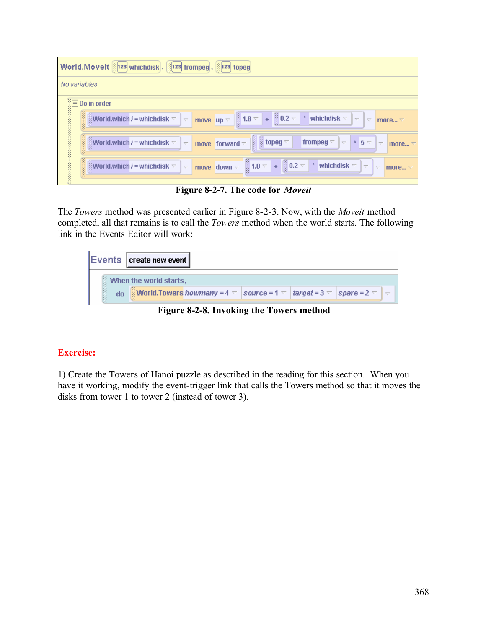| World.Moveit [123] whichdisk, [123] frompeg, [123] topeg                                                                                                                                                                                                                            |  |  |  |  |  |  |  |
|-------------------------------------------------------------------------------------------------------------------------------------------------------------------------------------------------------------------------------------------------------------------------------------|--|--|--|--|--|--|--|
| No variables                                                                                                                                                                                                                                                                        |  |  |  |  |  |  |  |
| ं⊟ Do in order                                                                                                                                                                                                                                                                      |  |  |  |  |  |  |  |
| <b>Notes that</b><br>move $\vert$ up $\vert$ $\vert$ 1.8 $\vert$ + $\vert$ 0.2 $\vert$ * whichdisk $\vert$<br><b>World, which i = whichdisk</b> $\nabla$<br>$\overline{\nabla}$<br>$\overline{\nabla}$<br>lv<br>more $\nabla$                                                       |  |  |  |  |  |  |  |
| $\frac{12}{3}$ topeg $\frac{1}{3}$<br>World.which $i$ = whichdisk $\triangledown$<br>move forward $\overline{\nabla}$<br>  - frompeg $\overline{\triangledown}$   $\overline{\triangledown}$<br>$\pm$ 5 $\pm$<br>$\overline{\nabla}$<br>$\overline{\nabla}$<br>more $\triangledown$ |  |  |  |  |  |  |  |
| 医皮肤病<br>move down $\leftarrow$ 1.8 $\leftarrow$ + 20.2 $\leftarrow$ * whichdisk $\leftarrow$<br>World.which $i$ = whichdisk $\bigtriangledown$<br>$\overline{\nabla}$<br>$\overline{\nabla}$<br>$\overline{\phantom{a}}$<br>more $\triangledown$                                    |  |  |  |  |  |  |  |

**Figure 8-2-7. The code for** *Moveit*

The *Towers* method was presented earlier in Figure 8-2-3. Now, with the *Moveit* method completed, all that remains is to call the *Towers* method when the world starts. The following link in the Events Editor will work:



**Figure 8-2-8. Invoking the Towers method**

# **Exercise:**

1) Create the Towers of Hanoi puzzle as described in the reading for this section. When you have it working, modify the event-trigger link that calls the Towers method so that it moves the disks from tower 1 to tower 2 (instead of tower 3).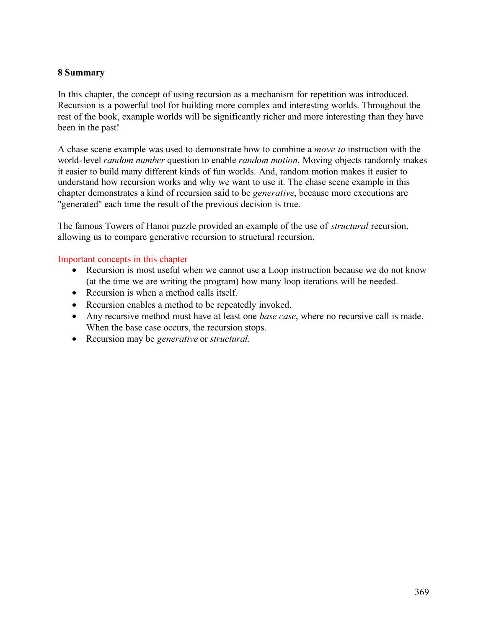### **8 Summary**

In this chapter, the concept of using recursion as a mechanism for repetition was introduced. Recursion is a powerful tool for building more complex and interesting worlds. Throughout the rest of the book, example worlds will be significantly richer and more interesting than they have been in the past!

A chase scene example was used to demonstrate how to combine a *move to* instruction with the world-level *random number* question to enable *random motion*. Moving objects randomly makes it easier to build many different kinds of fun worlds. And, random motion makes it easier to understand how recursion works and why we want to use it. The chase scene example in this chapter demonstrates a kind of recursion said to be *generative*, because more executions are "generated" each time the result of the previous decision is true.

The famous Towers of Hanoi puzzle provided an example of the use of *structural* recursion, allowing us to compare generative recursion to structural recursion.

#### Important concepts in this chapter

- Recursion is most useful when we cannot use a Loop instruction because we do not know (at the time we are writing the program) how many loop iterations will be needed.
- Recursion is when a method calls itself.
- Recursion enables a method to be repeatedly invoked.
- Any recursive method must have at least one *base case*, where no recursive call is made. When the base case occurs, the recursion stops.
- Recursion may be *generative* or *structural.*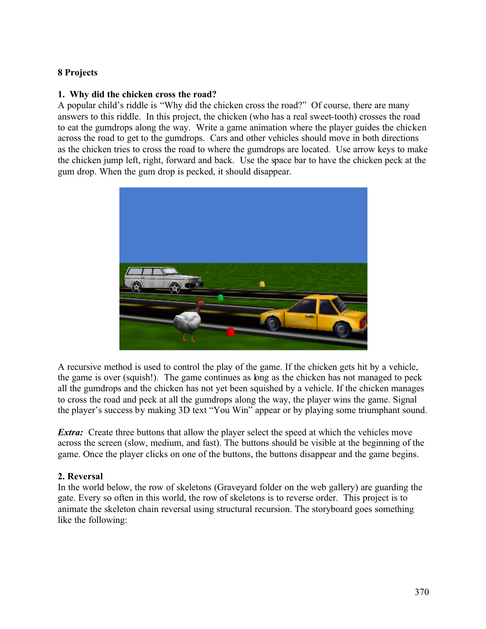## **8 Projects**

### **1. Why did the chicken cross the road?**

A popular child's riddle is "Why did the chicken cross the road?" Of course, there are many answers to this riddle. In this project, the chicken (who has a real sweet-tooth) crosses the road to eat the gumdrops along the way. Write a game animation where the player guides the chicken across the road to get to the gumdrops. Cars and other vehicles should move in both directions as the chicken tries to cross the road to where the gumdrops are located. Use arrow keys to make the chicken jump left, right, forward and back. Use the space bar to have the chicken peck at the gum drop. When the gum drop is pecked, it should disappear.



A recursive method is used to control the play of the game. If the chicken gets hit by a vehicle, the game is over (squish!). The game continues as long as the chicken has not managed to peck all the gumdrops and the chicken has not yet been squished by a vehicle. If the chicken manages to cross the road and peck at all the gumdrops along the way, the player wins the game. Signal the player's success by making 3D text "You Win" appear or by playing some triumphant sound.

*Extra:* Create three buttons that allow the player select the speed at which the vehicles move across the screen (slow, medium, and fast). The buttons should be visible at the beginning of the game. Once the player clicks on one of the buttons, the buttons disappear and the game begins.

#### **2. Reversal**

In the world below, the row of skeletons (Graveyard folder on the web gallery) are guarding the gate. Every so often in this world, the row of skeletons is to reverse order. This project is to animate the skeleton chain reversal using structural recursion. The storyboard goes something like the following: